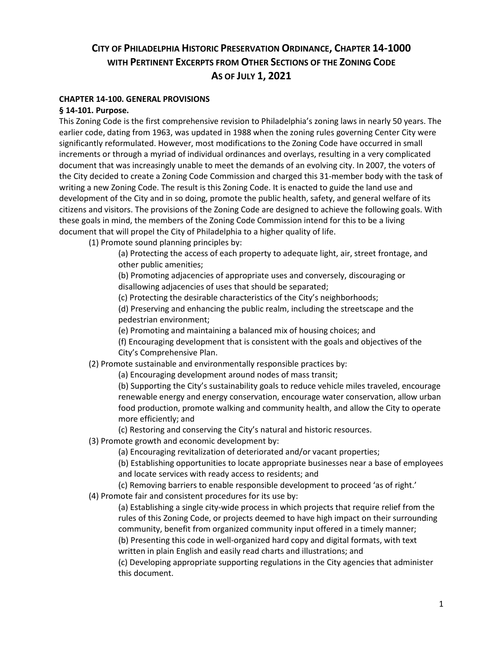# **CITY OF PHILADELPHIA HISTORIC PRESERVATION ORDINANCE, CHAPTER 14-1000 WITH PERTINENT EXCERPTS FROM OTHER SECTIONS OF THE ZONING CODE AS OF JULY 1, 2021**

### **CHAPTER 14-100. GENERAL PROVISIONS**

### **§ 14-101. Purpose.**

This Zoning Code is the first comprehensive revision to Philadelphia's zoning laws in nearly 50 years. The earlier code, dating from 1963, was updated in 1988 when the zoning rules governing Center City were significantly reformulated. However, most modifications to the Zoning Code have occurred in small increments or through a myriad of individual ordinances and overlays, resulting in a very complicated document that was increasingly unable to meet the demands of an evolving city. In 2007, the voters of the City decided to create a Zoning Code Commission and charged this 31-member body with the task of writing a new Zoning Code. The result is this Zoning Code. It is enacted to guide the land use and development of the City and in so doing, promote the public health, safety, and general welfare of its citizens and visitors. The provisions of the Zoning Code are designed to achieve the following goals. With these goals in mind, the members of the Zoning Code Commission intend for this to be a living document that will propel the City of Philadelphia to a higher quality of life.

(1) Promote sound planning principles by:

(a) Protecting the access of each property to adequate light, air, street frontage, and other public amenities;

(b) Promoting adjacencies of appropriate uses and conversely, discouraging or disallowing adjacencies of uses that should be separated;

(c) Protecting the desirable characteristics of the City's neighborhoods;

(d) Preserving and enhancing the public realm, including the streetscape and the pedestrian environment;

(e) Promoting and maintaining a balanced mix of housing choices; and

(f) Encouraging development that is consistent with the goals and objectives of the City's Comprehensive Plan.

(2) Promote sustainable and environmentally responsible practices by:

(a) Encouraging development around nodes of mass transit;

(b) Supporting the City's sustainability goals to reduce vehicle miles traveled, encourage renewable energy and energy conservation, encourage water conservation, allow urban food production, promote walking and community health, and allow the City to operate more efficiently; and

(c) Restoring and conserving the City's natural and historic resources.

(3) Promote growth and economic development by:

(a) Encouraging revitalization of deteriorated and/or vacant properties;

(b) Establishing opportunities to locate appropriate businesses near a base of employees and locate services with ready access to residents; and

(c) Removing barriers to enable responsible development to proceed 'as of right.'

(4) Promote fair and consistent procedures for its use by:

(a) Establishing a single city-wide process in which projects that require relief from the rules of this Zoning Code, or projects deemed to have high impact on their surrounding community, benefit from organized community input offered in a timely manner; (b) Presenting this code in well-organized hard copy and digital formats, with text written in plain English and easily read charts and illustrations; and

(c) Developing appropriate supporting regulations in the City agencies that administer this document.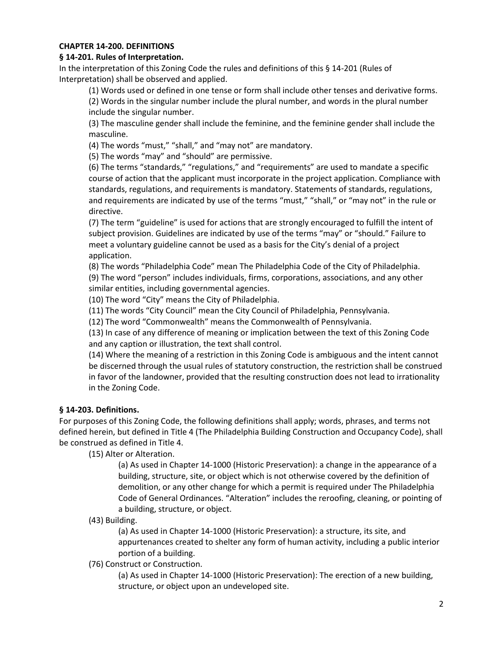### **CHAPTER 14-200. DEFINITIONS**

#### **§ 14-201. Rules of Interpretation.**

In the interpretation of this Zoning Code the rules and definitions of this § 14-201 (Rules of Interpretation) shall be observed and applied.

(1) Words used or defined in one tense or form shall include other tenses and derivative forms.

(2) Words in the singular number include the plural number, and words in the plural number include the singular number.

(3) The masculine gender shall include the feminine, and the feminine gender shall include the masculine.

(4) The words "must," "shall," and "may not" are mandatory.

(5) The words "may" and "should" are permissive.

(6) The terms "standards," "regulations," and "requirements" are used to mandate a specific course of action that the applicant must incorporate in the project application. Compliance with standards, regulations, and requirements is mandatory. Statements of standards, regulations, and requirements are indicated by use of the terms "must," "shall," or "may not" in the rule or directive.

(7) The term "guideline" is used for actions that are strongly encouraged to fulfill the intent of subject provision. Guidelines are indicated by use of the terms "may" or "should." Failure to meet a voluntary guideline cannot be used as a basis for the City's denial of a project application.

(8) The words "Philadelphia Code" mean The Philadelphia Code of the City of Philadelphia. (9) The word "person" includes individuals, firms, corporations, associations, and any other similar entities, including governmental agencies.

(10) The word "City" means the City of Philadelphia.

(11) The words "City Council" mean the City Council of Philadelphia, Pennsylvania.

(12) The word "Commonwealth" means the Commonwealth of Pennsylvania.

(13) In case of any difference of meaning or implication between the text of this Zoning Code and any caption or illustration, the text shall control.

(14) Where the meaning of a restriction in this Zoning Code is ambiguous and the intent cannot be discerned through the usual rules of statutory construction, the restriction shall be construed in favor of the landowner, provided that the resulting construction does not lead to irrationality in the Zoning Code.

### **§ 14-203. Definitions.**

For purposes of this Zoning Code, the following definitions shall apply; words, phrases, and terms not defined herein, but defined in Title 4 (The Philadelphia Building Construction and Occupancy Code), shall be construed as defined in Title 4.

(15) Alter or Alteration.

(a) As used in Chapter 14-1000 (Historic Preservation): a change in the appearance of a building, structure, site, or object which is not otherwise covered by the definition of demolition, or any other change for which a permit is required under The Philadelphia Code of General Ordinances. "Alteration" includes the reroofing, cleaning, or pointing of a building, structure, or object.

#### (43) Building.

(a) As used in Chapter 14-1000 (Historic Preservation): a structure, its site, and appurtenances created to shelter any form of human activity, including a public interior portion of a building.

(76) Construct or Construction.

(a) As used in Chapter 14-1000 (Historic Preservation): The erection of a new building, structure, or object upon an undeveloped site.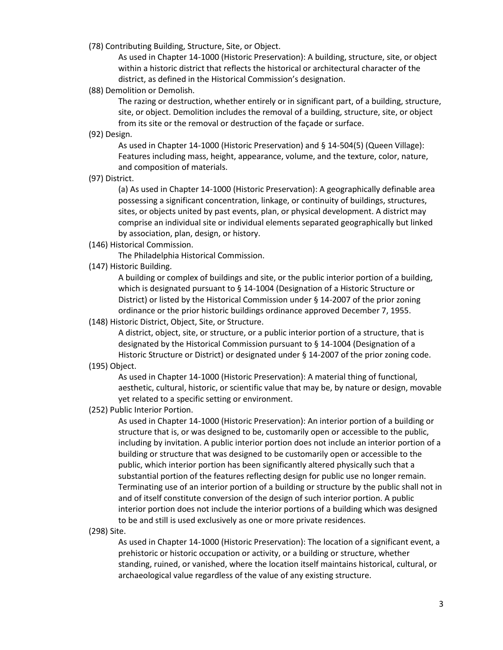(78) Contributing Building, Structure, Site, or Object.

As used in Chapter 14-1000 (Historic Preservation): A building, structure, site, or object within a historic district that reflects the historical or architectural character of the district, as defined in the Historical Commission's designation.

(88) Demolition or Demolish.

The razing or destruction, whether entirely or in significant part, of a building, structure, site, or object. Demolition includes the removal of a building, structure, site, or object from its site or the removal or destruction of the façade or surface.

(92) Design.

As used in Chapter 14-1000 (Historic Preservation) and § 14-504(5) (Queen Village): Features including mass, height, appearance, volume, and the texture, color, nature, and composition of materials.

(97) District.

(a) As used in Chapter 14-1000 (Historic Preservation): A geographically definable area possessing a significant concentration, linkage, or continuity of buildings, structures, sites, or objects united by past events, plan, or physical development. A district may comprise an individual site or individual elements separated geographically but linked by association, plan, design, or history.

(146) Historical Commission.

The Philadelphia Historical Commission.

(147) Historic Building.

A building or complex of buildings and site, or the public interior portion of a building, which is designated pursuant to § 14-1004 (Designation of a Historic Structure or District) or listed by the Historical Commission under § 14-2007 of the prior zoning ordinance or the prior historic buildings ordinance approved December 7, 1955.

(148) Historic District, Object, Site, or Structure.

A district, object, site, or structure, or a public interior portion of a structure, that is designated by the Historical Commission pursuant to § 14-1004 (Designation of a Historic Structure or District) or designated under § 14-2007 of the prior zoning code.

(195) Object.

As used in Chapter 14-1000 (Historic Preservation): A material thing of functional, aesthetic, cultural, historic, or scientific value that may be, by nature or design, movable yet related to a specific setting or environment.

(252) Public Interior Portion.

As used in Chapter 14-1000 (Historic Preservation): An interior portion of a building or structure that is, or was designed to be, customarily open or accessible to the public, including by invitation. A public interior portion does not include an interior portion of a building or structure that was designed to be customarily open or accessible to the public, which interior portion has been significantly altered physically such that a substantial portion of the features reflecting design for public use no longer remain. Terminating use of an interior portion of a building or structure by the public shall not in and of itself constitute conversion of the design of such interior portion. A public interior portion does not include the interior portions of a building which was designed to be and still is used exclusively as one or more private residences.

(298) Site.

As used in Chapter 14-1000 (Historic Preservation): The location of a significant event, a prehistoric or historic occupation or activity, or a building or structure, whether standing, ruined, or vanished, where the location itself maintains historical, cultural, or archaeological value regardless of the value of any existing structure.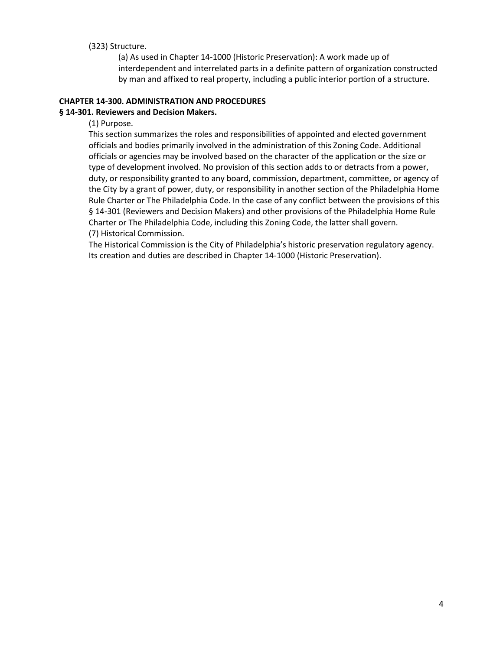### (323) Structure.

(a) As used in Chapter 14-1000 (Historic Preservation): A work made up of interdependent and interrelated parts in a definite pattern of organization constructed by man and affixed to real property, including a public interior portion of a structure.

# **CHAPTER 14-300. ADMINISTRATION AND PROCEDURES**

### **§ 14-301. Reviewers and Decision Makers.**

(1) Purpose.

This section summarizes the roles and responsibilities of appointed and elected government officials and bodies primarily involved in the administration of this Zoning Code. Additional officials or agencies may be involved based on the character of the application or the size or type of development involved. No provision of this section adds to or detracts from a power, duty, or responsibility granted to any board, commission, department, committee, or agency of the City by a grant of power, duty, or responsibility in another section of the Philadelphia Home Rule Charter or The Philadelphia Code. In the case of any conflict between the provisions of this § 14-301 (Reviewers and Decision Makers) and other provisions of the Philadelphia Home Rule Charter or The Philadelphia Code, including this Zoning Code, the latter shall govern. (7) Historical Commission.

The Historical Commission is the City of Philadelphia's historic preservation regulatory agency. Its creation and duties are described in Chapter 14-1000 (Historic Preservation).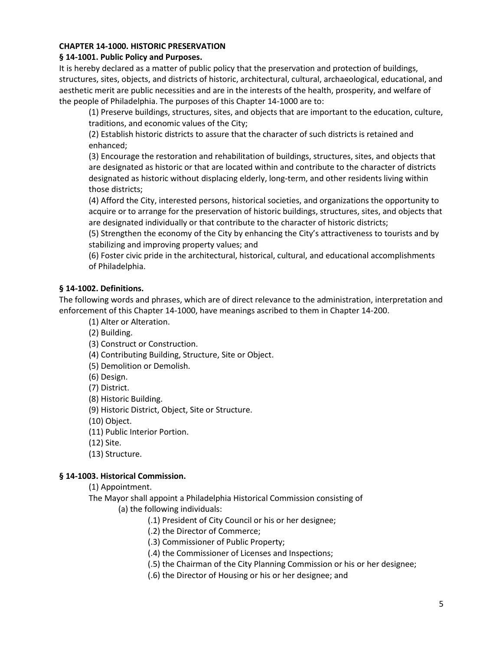### **CHAPTER 14-1000. HISTORIC PRESERVATION**

### **§ 14-1001. Public Policy and Purposes.**

It is hereby declared as a matter of public policy that the preservation and protection of buildings, structures, sites, objects, and districts of historic, architectural, cultural, archaeological, educational, and aesthetic merit are public necessities and are in the interests of the health, prosperity, and welfare of the people of Philadelphia. The purposes of this Chapter 14-1000 are to:

(1) Preserve buildings, structures, sites, and objects that are important to the education, culture, traditions, and economic values of the City;

(2) Establish historic districts to assure that the character of such districts is retained and enhanced;

(3) Encourage the restoration and rehabilitation of buildings, structures, sites, and objects that are designated as historic or that are located within and contribute to the character of districts designated as historic without displacing elderly, long-term, and other residents living within those districts;

(4) Afford the City, interested persons, historical societies, and organizations the opportunity to acquire or to arrange for the preservation of historic buildings, structures, sites, and objects that are designated individually or that contribute to the character of historic districts;

(5) Strengthen the economy of the City by enhancing the City's attractiveness to tourists and by stabilizing and improving property values; and

(6) Foster civic pride in the architectural, historical, cultural, and educational accomplishments of Philadelphia.

# **§ 14-1002. Definitions.**

The following words and phrases, which are of direct relevance to the administration, interpretation and enforcement of this Chapter 14-1000, have meanings ascribed to them in Chapter 14-200.

(1) Alter or Alteration.

(2) Building.

(3) Construct or Construction.

(4) Contributing Building, Structure, Site or Object.

(5) Demolition or Demolish.

(6) Design.

(7) District.

(8) Historic Building.

(9) Historic District, Object, Site or Structure.

(10) Object.

(11) Public Interior Portion.

(12) Site.

(13) Structure.

### **§ 14-1003. Historical Commission.**

(1) Appointment.

The Mayor shall appoint a Philadelphia Historical Commission consisting of

(a) the following individuals:

(.1) President of City Council or his or her designee;

(.2) the Director of Commerce;

(.3) Commissioner of Public Property;

(.4) the Commissioner of Licenses and Inspections;

(.5) the Chairman of the City Planning Commission or his or her designee;

(.6) the Director of Housing or his or her designee; and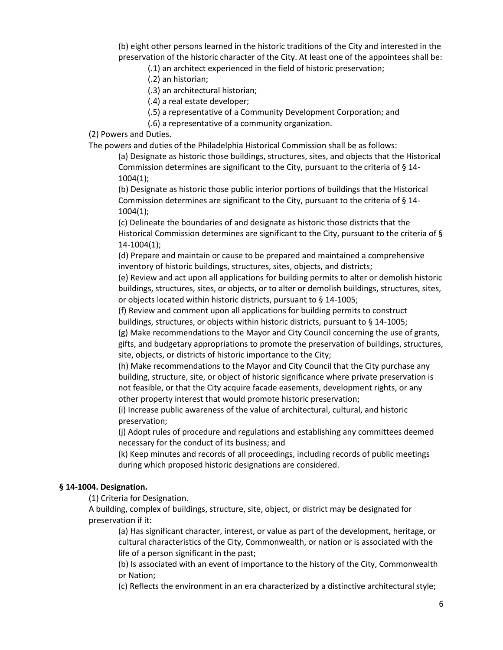(b) eight other persons learned in the historic traditions of the City and interested in the preservation of the historic character of the City. At least one of the appointees shall be:

(.1) an architect experienced in the field of historic preservation;

(.2) an historian;

(.3) an architectural historian;

(.4) a real estate developer;

(.5) a representative of a Community Development Corporation; and

(.6) a representative of a community organization.

(2) Powers and Duties.

The powers and duties of the Philadelphia Historical Commission shall be as follows:

(a) Designate as historic those buildings, structures, sites, and objects that the Historical Commission determines are significant to the City, pursuant to the criteria of § 14- 1004(1);

(b) Designate as historic those public interior portions of buildings that the Historical Commission determines are significant to the City, pursuant to the criteria of § 14- 1004(1);

(c) Delineate the boundaries of and designate as historic those districts that the Historical Commission determines are significant to the City, pursuant to the criteria of § 14-1004(1);

(d) Prepare and maintain or cause to be prepared and maintained a comprehensive inventory of historic buildings, structures, sites, objects, and districts;

(e) Review and act upon all applications for building permits to alter or demolish historic buildings, structures, sites, or objects, or to alter or demolish buildings, structures, sites, or objects located within historic districts, pursuant to § 14-1005;

(f) Review and comment upon all applications for building permits to construct

buildings, structures, or objects within historic districts, pursuant to § 14-1005; (g) Make recommendations to the Mayor and City Council concerning the use of grants,

gifts, and budgetary appropriations to promote the preservation of buildings, structures, site, objects, or districts of historic importance to the City;

(h) Make recommendations to the Mayor and City Council that the City purchase any building, structure, site, or object of historic significance where private preservation is not feasible, or that the City acquire facade easements, development rights, or any other property interest that would promote historic preservation;

(i) Increase public awareness of the value of architectural, cultural, and historic preservation;

(j) Adopt rules of procedure and regulations and establishing any committees deemed necessary for the conduct of its business; and

(k) Keep minutes and records of all proceedings, including records of public meetings during which proposed historic designations are considered.

# **§ 14-1004. Designation.**

(1) Criteria for Designation.

A building, complex of buildings, structure, site, object, or district may be designated for preservation if it:

(a) Has significant character, interest, or value as part of the development, heritage, or cultural characteristics of the City, Commonwealth, or nation or is associated with the life of a person significant in the past;

(b) Is associated with an event of importance to the history of the City, Commonwealth or Nation;

(c) Reflects the environment in an era characterized by a distinctive architectural style;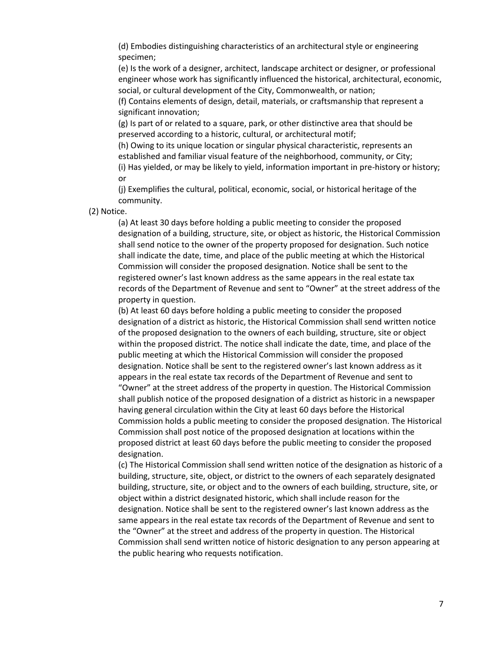(d) Embodies distinguishing characteristics of an architectural style or engineering specimen;

(e) Is the work of a designer, architect, landscape architect or designer, or professional engineer whose work has significantly influenced the historical, architectural, economic, social, or cultural development of the City, Commonwealth, or nation;

(f) Contains elements of design, detail, materials, or craftsmanship that represent a significant innovation;

(g) Is part of or related to a square, park, or other distinctive area that should be preserved according to a historic, cultural, or architectural motif;

(h) Owing to its unique location or singular physical characteristic, represents an established and familiar visual feature of the neighborhood, community, or City;

(i) Has yielded, or may be likely to yield, information important in pre-history or history; or

(j) Exemplifies the cultural, political, economic, social, or historical heritage of the community.

(2) Notice.

(a) At least 30 days before holding a public meeting to consider the proposed designation of a building, structure, site, or object as historic, the Historical Commission shall send notice to the owner of the property proposed for designation. Such notice shall indicate the date, time, and place of the public meeting at which the Historical Commission will consider the proposed designation. Notice shall be sent to the registered owner's last known address as the same appears in the real estate tax records of the Department of Revenue and sent to "Owner" at the street address of the property in question.

(b) At least 60 days before holding a public meeting to consider the proposed designation of a district as historic, the Historical Commission shall send written notice of the proposed designation to the owners of each building, structure, site or object within the proposed district. The notice shall indicate the date, time, and place of the public meeting at which the Historical Commission will consider the proposed designation. Notice shall be sent to the registered owner's last known address as it appears in the real estate tax records of the Department of Revenue and sent to "Owner" at the street address of the property in question. The Historical Commission shall publish notice of the proposed designation of a district as historic in a newspaper having general circulation within the City at least 60 days before the Historical Commission holds a public meeting to consider the proposed designation. The Historical Commission shall post notice of the proposed designation at locations within the proposed district at least 60 days before the public meeting to consider the proposed designation.

(c) The Historical Commission shall send written notice of the designation as historic of a building, structure, site, object, or district to the owners of each separately designated building, structure, site, or object and to the owners of each building, structure, site, or object within a district designated historic, which shall include reason for the designation. Notice shall be sent to the registered owner's last known address as the same appears in the real estate tax records of the Department of Revenue and sent to the "Owner" at the street and address of the property in question. The Historical Commission shall send written notice of historic designation to any person appearing at the public hearing who requests notification.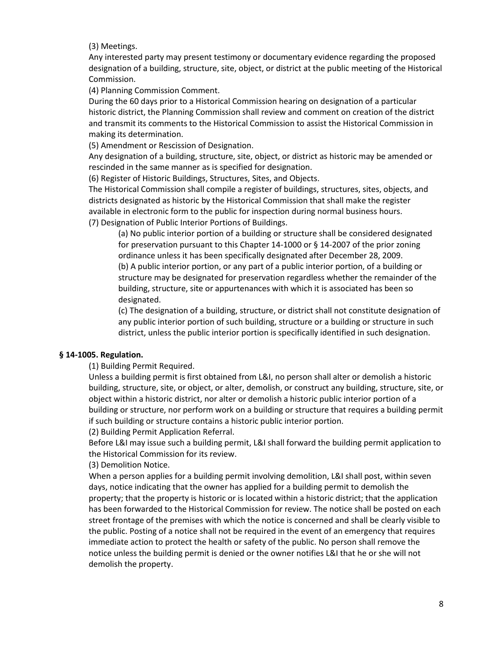(3) Meetings.

Any interested party may present testimony or documentary evidence regarding the proposed designation of a building, structure, site, object, or district at the public meeting of the Historical Commission.

(4) Planning Commission Comment.

During the 60 days prior to a Historical Commission hearing on designation of a particular historic district, the Planning Commission shall review and comment on creation of the district and transmit its comments to the Historical Commission to assist the Historical Commission in making its determination.

(5) Amendment or Rescission of Designation.

Any designation of a building, structure, site, object, or district as historic may be amended or rescinded in the same manner as is specified for designation.

(6) Register of Historic Buildings, Structures, Sites, and Objects.

The Historical Commission shall compile a register of buildings, structures, sites, objects, and districts designated as historic by the Historical Commission that shall make the register available in electronic form to the public for inspection during normal business hours. (7) Designation of Public Interior Portions of Buildings.

(a) No public interior portion of a building or structure shall be considered designated for preservation pursuant to this Chapter 14-1000 or § 14-2007 of the prior zoning ordinance unless it has been specifically designated after December 28, 2009. (b) A public interior portion, or any part of a public interior portion, of a building or structure may be designated for preservation regardless whether the remainder of the building, structure, site or appurtenances with which it is associated has been so designated.

(c) The designation of a building, structure, or district shall not constitute designation of any public interior portion of such building, structure or a building or structure in such district, unless the public interior portion is specifically identified in such designation.

# **§ 14-1005. Regulation.**

(1) Building Permit Required.

Unless a building permit is first obtained from L&I, no person shall alter or demolish a historic building, structure, site, or object, or alter, demolish, or construct any building, structure, site, or object within a historic district, nor alter or demolish a historic public interior portion of a building or structure, nor perform work on a building or structure that requires a building permit if such building or structure contains a historic public interior portion.

(2) Building Permit Application Referral.

Before L&I may issue such a building permit, L&I shall forward the building permit application to the Historical Commission for its review.

### (3) Demolition Notice.

When a person applies for a building permit involving demolition, L&I shall post, within seven days, notice indicating that the owner has applied for a building permit to demolish the property; that the property is historic or is located within a historic district; that the application has been forwarded to the Historical Commission for review. The notice shall be posted on each street frontage of the premises with which the notice is concerned and shall be clearly visible to the public. Posting of a notice shall not be required in the event of an emergency that requires immediate action to protect the health or safety of the public. No person shall remove the notice unless the building permit is denied or the owner notifies L&I that he or she will not demolish the property.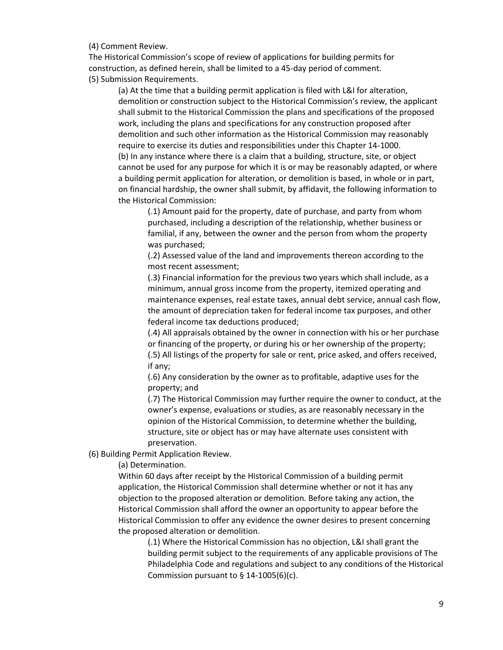(4) Comment Review.

The Historical Commission's scope of review of applications for building permits for construction, as defined herein, shall be limited to a 45-day period of comment. (5) Submission Requirements.

(a) At the time that a building permit application is filed with L&I for alteration, demolition or construction subject to the Historical Commission's review, the applicant shall submit to the Historical Commission the plans and specifications of the proposed work, including the plans and specifications for any construction proposed after demolition and such other information as the Historical Commission may reasonably require to exercise its duties and responsibilities under this Chapter 14-1000. (b) In any instance where there is a claim that a building, structure, site, or object cannot be used for any purpose for which it is or may be reasonably adapted, or where a building permit application for alteration, or demolition is based, in whole or in part, on financial hardship, the owner shall submit, by affidavit, the following information to the Historical Commission:

(.1) Amount paid for the property, date of purchase, and party from whom purchased, including a description of the relationship, whether business or familial, if any, between the owner and the person from whom the property was purchased;

(.2) Assessed value of the land and improvements thereon according to the most recent assessment;

(.3) Financial information for the previous two years which shall include, as a minimum, annual gross income from the property, itemized operating and maintenance expenses, real estate taxes, annual debt service, annual cash flow, the amount of depreciation taken for federal income tax purposes, and other federal income tax deductions produced;

(.4) All appraisals obtained by the owner in connection with his or her purchase or financing of the property, or during his or her ownership of the property; (.5) All listings of the property for sale or rent, price asked, and offers received, if any;

(.6) Any consideration by the owner as to profitable, adaptive uses for the property; and

(.7) The Historical Commission may further require the owner to conduct, at the owner's expense, evaluations or studies, as are reasonably necessary in the opinion of the Historical Commission, to determine whether the building, structure, site or object has or may have alternate uses consistent with preservation.

(6) Building Permit Application Review.

(a) Determination.

Within 60 days after receipt by the Historical Commission of a building permit application, the Historical Commission shall determine whether or not it has any objection to the proposed alteration or demolition. Before taking any action, the Historical Commission shall afford the owner an opportunity to appear before the Historical Commission to offer any evidence the owner desires to present concerning the proposed alteration or demolition.

(.1) Where the Historical Commission has no objection, L&I shall grant the building permit subject to the requirements of any applicable provisions of The Philadelphia Code and regulations and subject to any conditions of the Historical Commission pursuant to  $\S$  14-1005(6)(c).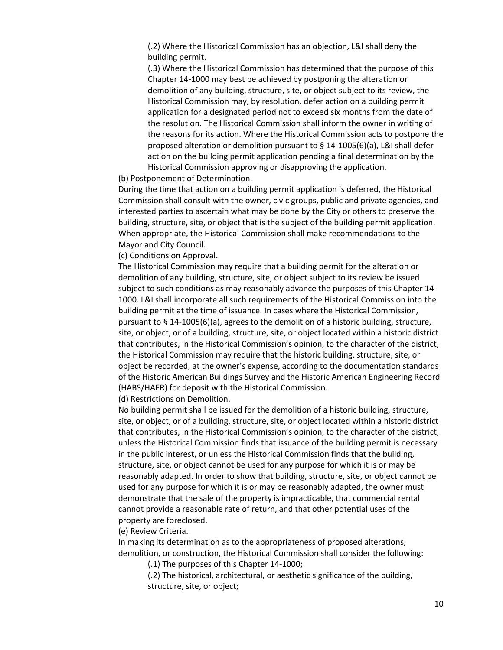(.2) Where the Historical Commission has an objection, L&I shall deny the building permit.

(.3) Where the Historical Commission has determined that the purpose of this Chapter 14-1000 may best be achieved by postponing the alteration or demolition of any building, structure, site, or object subject to its review, the Historical Commission may, by resolution, defer action on a building permit application for a designated period not to exceed six months from the date of the resolution. The Historical Commission shall inform the owner in writing of the reasons for its action. Where the Historical Commission acts to postpone the proposed alteration or demolition pursuant to § 14-1005(6)(a), L&I shall defer action on the building permit application pending a final determination by the Historical Commission approving or disapproving the application.

(b) Postponement of Determination.

During the time that action on a building permit application is deferred, the Historical Commission shall consult with the owner, civic groups, public and private agencies, and interested parties to ascertain what may be done by the City or others to preserve the building, structure, site, or object that is the subject of the building permit application. When appropriate, the Historical Commission shall make recommendations to the Mayor and City Council.

(c) Conditions on Approval.

The Historical Commission may require that a building permit for the alteration or demolition of any building, structure, site, or object subject to its review be issued subject to such conditions as may reasonably advance the purposes of this Chapter 14- 1000. L&I shall incorporate all such requirements of the Historical Commission into the building permit at the time of issuance. In cases where the Historical Commission, pursuant to § 14-1005(6)(a), agrees to the demolition of a historic building, structure, site, or object, or of a building, structure, site, or object located within a historic district that contributes, in the Historical Commission's opinion, to the character of the district, the Historical Commission may require that the historic building, structure, site, or object be recorded, at the owner's expense, according to the documentation standards of the Historic American Buildings Survey and the Historic American Engineering Record (HABS/HAER) for deposit with the Historical Commission.

(d) Restrictions on Demolition.

No building permit shall be issued for the demolition of a historic building, structure, site, or object, or of a building, structure, site, or object located within a historic district that contributes, in the Historical Commission's opinion, to the character of the district, unless the Historical Commission finds that issuance of the building permit is necessary in the public interest, or unless the Historical Commission finds that the building, structure, site, or object cannot be used for any purpose for which it is or may be reasonably adapted. In order to show that building, structure, site, or object cannot be used for any purpose for which it is or may be reasonably adapted, the owner must demonstrate that the sale of the property is impracticable, that commercial rental cannot provide a reasonable rate of return, and that other potential uses of the property are foreclosed.

(e) Review Criteria.

In making its determination as to the appropriateness of proposed alterations, demolition, or construction, the Historical Commission shall consider the following:

(.1) The purposes of this Chapter 14-1000;

(.2) The historical, architectural, or aesthetic significance of the building, structure, site, or object;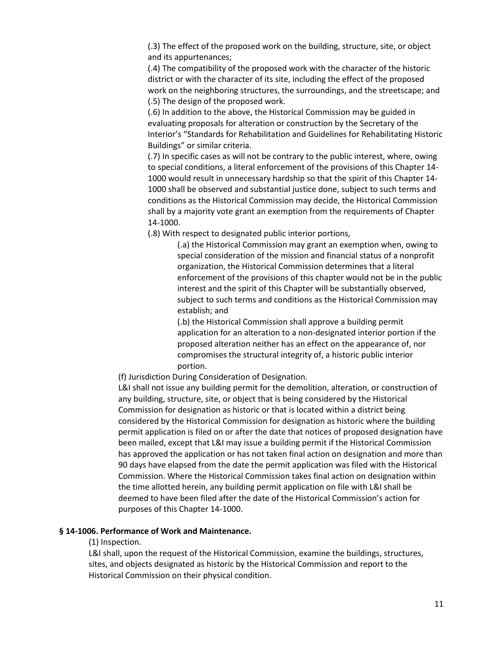(.3) The effect of the proposed work on the building, structure, site, or object and its appurtenances;

(.4) The compatibility of the proposed work with the character of the historic district or with the character of its site, including the effect of the proposed work on the neighboring structures, the surroundings, and the streetscape; and (.5) The design of the proposed work.

(.6) In addition to the above, the Historical Commission may be guided in evaluating proposals for alteration or construction by the Secretary of the Interior's "Standards for Rehabilitation and Guidelines for Rehabilitating Historic Buildings" or similar criteria.

(.7) In specific cases as will not be contrary to the public interest, where, owing to special conditions, a literal enforcement of the provisions of this Chapter 14- 1000 would result in unnecessary hardship so that the spirit of this Chapter 14- 1000 shall be observed and substantial justice done, subject to such terms and conditions as the Historical Commission may decide, the Historical Commission shall by a majority vote grant an exemption from the requirements of Chapter 14-1000.

(.8) With respect to designated public interior portions,

(.a) the Historical Commission may grant an exemption when, owing to special consideration of the mission and financial status of a nonprofit organization, the Historical Commission determines that a literal enforcement of the provisions of this chapter would not be in the public interest and the spirit of this Chapter will be substantially observed, subject to such terms and conditions as the Historical Commission may establish; and

(.b) the Historical Commission shall approve a building permit application for an alteration to a non-designated interior portion if the proposed alteration neither has an effect on the appearance of, nor compromises the structural integrity of, a historic public interior portion.

(f) Jurisdiction During Consideration of Designation.

L&I shall not issue any building permit for the demolition, alteration, or construction of any building, structure, site, or object that is being considered by the Historical Commission for designation as historic or that is located within a district being considered by the Historical Commission for designation as historic where the building permit application is filed on or after the date that notices of proposed designation have been mailed, except that L&I may issue a building permit if the Historical Commission has approved the application or has not taken final action on designation and more than 90 days have elapsed from the date the permit application was filed with the Historical Commission. Where the Historical Commission takes final action on designation within the time allotted herein, any building permit application on file with L&I shall be deemed to have been filed after the date of the Historical Commission's action for purposes of this Chapter 14-1000.

#### **§ 14-1006. Performance of Work and Maintenance.**

#### (1) Inspection.

L&I shall, upon the request of the Historical Commission, examine the buildings, structures, sites, and objects designated as historic by the Historical Commission and report to the Historical Commission on their physical condition.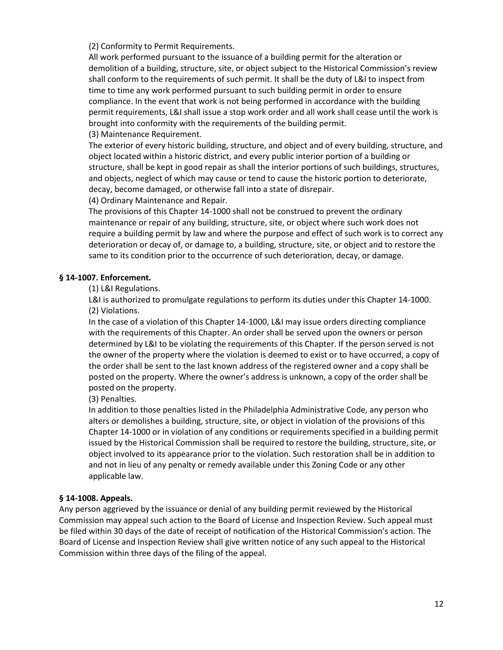(2) Conformity to Permit Requirements.

All work performed pursuant to the issuance of a building permit for the alteration or demolition of a building, structure, site, or object subject to the Historical Commission's review shall conform to the requirements of such permit. It shall be the duty of L&I to inspect from time to time any work performed pursuant to such building permit in order to ensure compliance. In the event that work is not being performed in accordance with the building permit requirements, L&I shall issue a stop work order and all work shall cease until the work is brought into conformity with the requirements of the building permit. (3) Maintenance Requirement.

The exterior of every historic building, structure, and object and of every building, structure, and object located within a historic district, and every public interior portion of a building or structure, shall be kept in good repair as shall the interior portions of such buildings, structures, and objects, neglect of which may cause or tend to cause the historic portion to deteriorate,

decay, become damaged, or otherwise fall into a state of disrepair.

(4) Ordinary Maintenance and Repair.

The provisions of this Chapter 14-1000 shall not be construed to prevent the ordinary maintenance or repair of any building, structure, site, or object where such work does not require a building permit by law and where the purpose and effect of such work is to correct any deterioration or decay of, or damage to, a building, structure, site, or object and to restore the same to its condition prior to the occurrence of such deterioration, decay, or damage.

### **§ 14-1007. Enforcement.**

(1) L&I Regulations.

L&I is authorized to promulgate regulations to perform its duties under this Chapter 14-1000. (2) Violations.

In the case of a violation of this Chapter 14-1000, L&I may issue orders directing compliance with the requirements of this Chapter. An order shall be served upon the owners or person determined by L&I to be violating the requirements of this Chapter. If the person served is not the owner of the property where the violation is deemed to exist or to have occurred, a copy of the order shall be sent to the last known address of the registered owner and a copy shall be posted on the property. Where the owner's address is unknown, a copy of the order shall be posted on the property.

(3) Penalties.

In addition to those penalties listed in the Philadelphia Administrative Code, any person who alters or demolishes a building, structure, site, or object in violation of the provisions of this Chapter 14-1000 or in violation of any conditions or requirements specified in a building permit issued by the Historical Commission shall be required to restore the building, structure, site, or object involved to its appearance prior to the violation. Such restoration shall be in addition to and not in lieu of any penalty or remedy available under this Zoning Code or any other applicable law.

### **§ 14-1008. Appeals.**

Any person aggrieved by the issuance or denial of any building permit reviewed by the Historical Commission may appeal such action to the Board of License and Inspection Review. Such appeal must be filed within 30 days of the date of receipt of notification of the Historical Commission's action. The Board of License and Inspection Review shall give written notice of any such appeal to the Historical Commission within three days of the filing of the appeal.